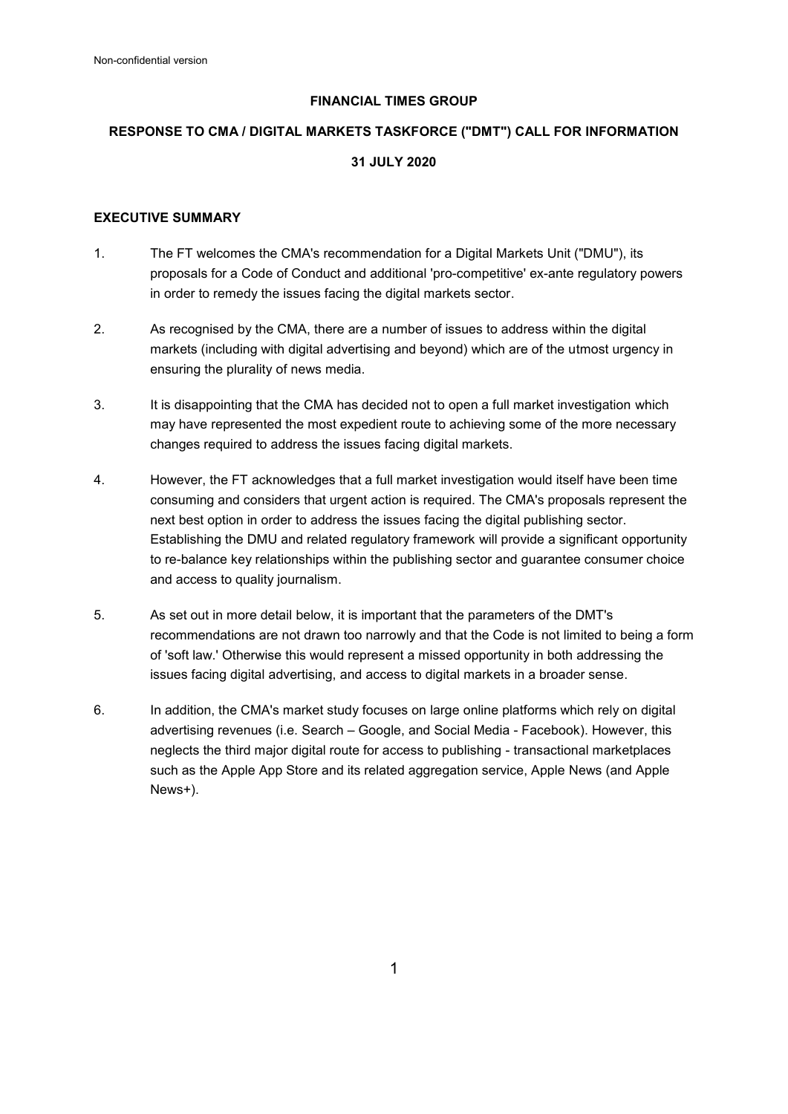# **FINANCIAL TIMES GROUP**

# **RESPONSE TO CMA / DIGITAL MARKETS TASKFORCE ("DMT") CALL FOR INFORMATION 31 JULY 2020**

#### **EXECUTIVE SUMMARY**

- 1. The FT welcomes the CMA's recommendation for a Digital Markets Unit ("DMU"), its proposals for a Code of Conduct and additional 'pro-competitive' ex-ante regulatory powers in order to remedy the issues facing the digital markets sector.
- 2. As recognised by the CMA, there are a number of issues to address within the digital markets (including with digital advertising and beyond) which are of the utmost urgency in ensuring the plurality of news media.
- 3. It is disappointing that the CMA has decided not to open a full market investigation which may have represented the most expedient route to achieving some of the more necessary changes required to address the issues facing digital markets.
- 4. However, the FT acknowledges that a full market investigation would itself have been time consuming and considers that urgent action is required. The CMA's proposals represent the next best option in order to address the issues facing the digital publishing sector. Establishing the DMU and related regulatory framework will provide a significant opportunity to re-balance key relationships within the publishing sector and guarantee consumer choice and access to quality journalism.
- 5. As set out in more detail below, it is important that the parameters of the DMT's recommendations are not drawn too narrowly and that the Code is not limited to being a form of 'soft law.' Otherwise this would represent a missed opportunity in both addressing the issues facing digital advertising, and access to digital markets in a broader sense.
- 6. In addition, the CMA's market study focuses on large online platforms which rely on digital advertising revenues (i.e. Search – Google, and Social Media - Facebook). However, this neglects the third major digital route for access to publishing - transactional marketplaces such as the Apple App Store and its related aggregation service, Apple News (and Apple News+).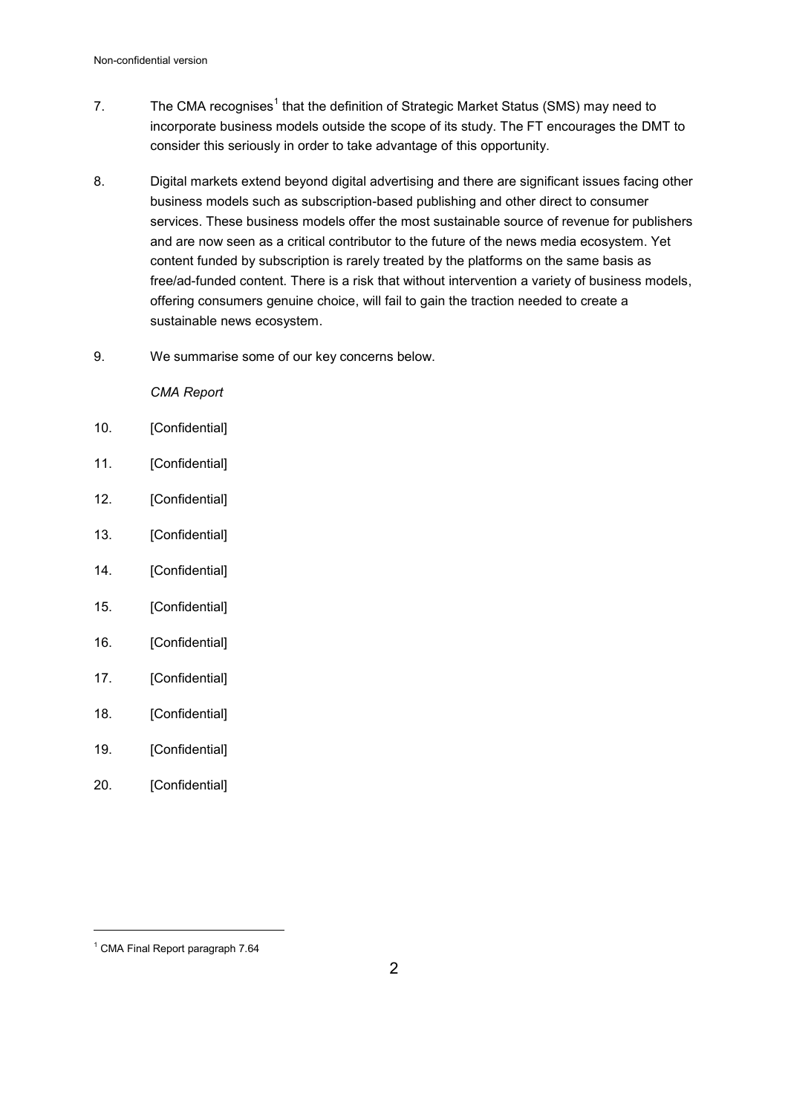- 7.  $\hbox{\bf The CMA recognizes}^1$  that the definition of Strategic Market Status (SMS) may need to incorporate business models outside the scope of its study. The FT encourages the DMT to consider this seriously in order to take advantage of this opportunity.
- 8. Digital markets extend beyond digital advertising and there are significant issues facing other business models such as subscription-based publishing and other direct to consumer services. These business models offer the most sustainable source of revenue for publishers and are now seen as a critical contributor to the future of the news media ecosystem. Yet content funded by subscription is rarely treated by the platforms on the same basis as free/ad-funded content. There is a risk that without intervention a variety of business models, offering consumers genuine choice, will fail to gain the traction needed to create a sustainable news ecosystem.
- 9. We summarise some of our key concerns below.

*CMA Report* 

- 10. [Confidential]
- 11. [Confidential]
- 12. [Confidential]
- 13. [Confidential]
- 14. [Confidential]
- 15. [Confidential]
- 16. [Confidential]
- 17. [Confidential]
- 18. [Confidential]
- 19. [Confidential]
- 20. [Confidential]

<sup>1</sup> CMA Final Report paragraph 7.64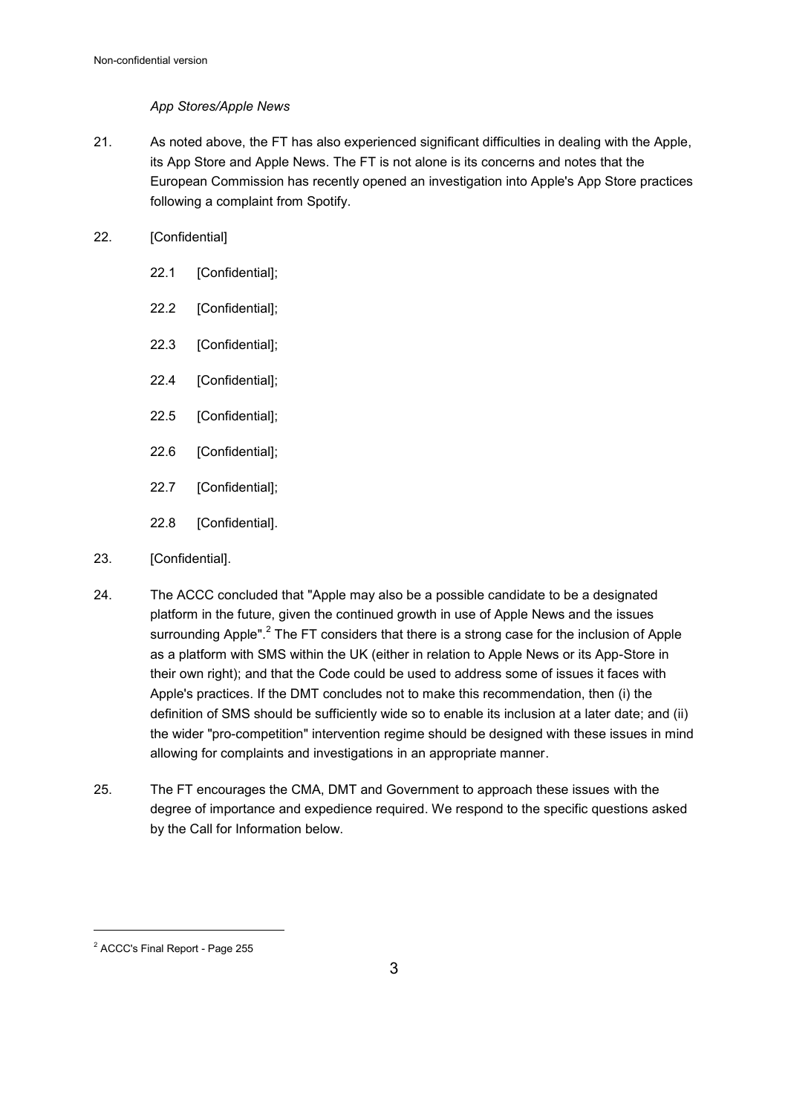# *App Stores/Apple News*

21. As noted above, the FT has also experienced significant difficulties in dealing with the Apple, its App Store and Apple News. The FT is not alone is its concerns and notes that the European Commission has recently opened an investigation into Apple's App Store practices following a complaint from Spotify.

# 22. [Confidential]

- 22.1 [Confidential];
- 22.2 [Confidential];
- 22.3 [Confidential];
- 22.4 [Confidential];
- 22.5 [Confidential];
- 22.6 [Confidential];
- 22.7 [Confidential];
- 22.8 [Confidential].
- 23. [Confidential].
- 24. The ACCC concluded that "Apple may also be a possible candidate to be a designated platform in the future, given the continued growth in use of Apple News and the issues surrounding Apple". $^2$  The FT considers that there is a strong case for the inclusion of Apple as a platform with SMS within the UK (either in relation to Apple News or its App-Store in their own right); and that the Code could be used to address some of issues it faces with Apple's practices. If the DMT concludes not to make this recommendation, then (i) the definition of SMS should be sufficiently wide so to enable its inclusion at a later date; and (ii) the wider "pro-competition" intervention regime should be designed with these issues in mind allowing for complaints and investigations in an appropriate manner.
- 25. The FT encourages the CMA, DMT and Government to approach these issues with the degree of importance and expedience required. We respond to the specific questions asked by the Call for Information below.

<sup>2</sup> ACCC's Final Report - Page 255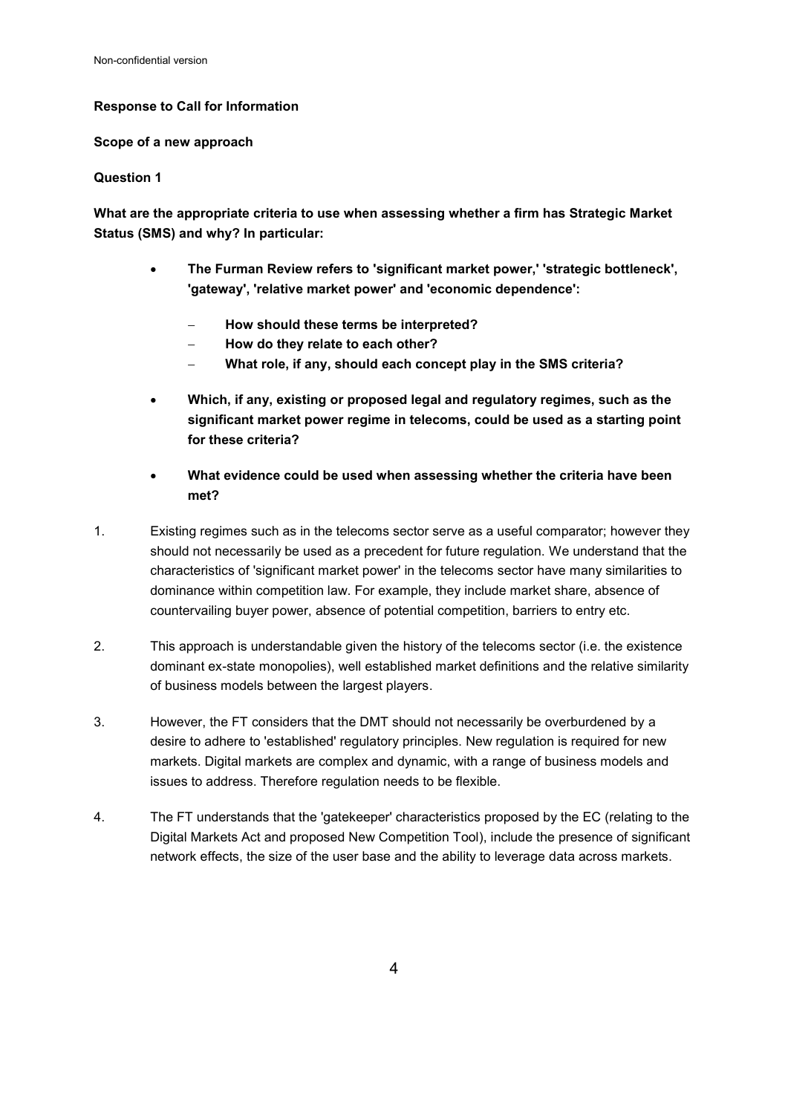# **Response to Call for Information**

**Scope of a new approach** 

#### **Question 1**

**What are the appropriate criteria to use when assessing whether a firm has Strategic Market Status (SMS) and why? In particular:**

- **The Furman Review refers to 'significant market power,' 'strategic bottleneck', 'gateway', 'relative market power' and 'economic dependence':** 
	- **How should these terms be interpreted?**
	- **How do they relate to each other?**
	- **What role, if any, should each concept play in the SMS criteria?**
- **Which, if any, existing or proposed legal and regulatory regimes, such as the significant market power regime in telecoms, could be used as a starting point for these criteria?**
- **What evidence could be used when assessing whether the criteria have been met?**
- 1. Existing regimes such as in the telecoms sector serve as a useful comparator; however they should not necessarily be used as a precedent for future regulation. We understand that the characteristics of 'significant market power' in the telecoms sector have many similarities to dominance within competition law. For example, they include market share, absence of countervailing buyer power, absence of potential competition, barriers to entry etc.
- 2. This approach is understandable given the history of the telecoms sector (i.e. the existence dominant ex-state monopolies), well established market definitions and the relative similarity of business models between the largest players.
- 3. However, the FT considers that the DMT should not necessarily be overburdened by a desire to adhere to 'established' regulatory principles. New regulation is required for new markets. Digital markets are complex and dynamic, with a range of business models and issues to address. Therefore regulation needs to be flexible.
- 4. The FT understands that the 'gatekeeper' characteristics proposed by the EC (relating to the Digital Markets Act and proposed New Competition Tool), include the presence of significant network effects, the size of the user base and the ability to leverage data across markets.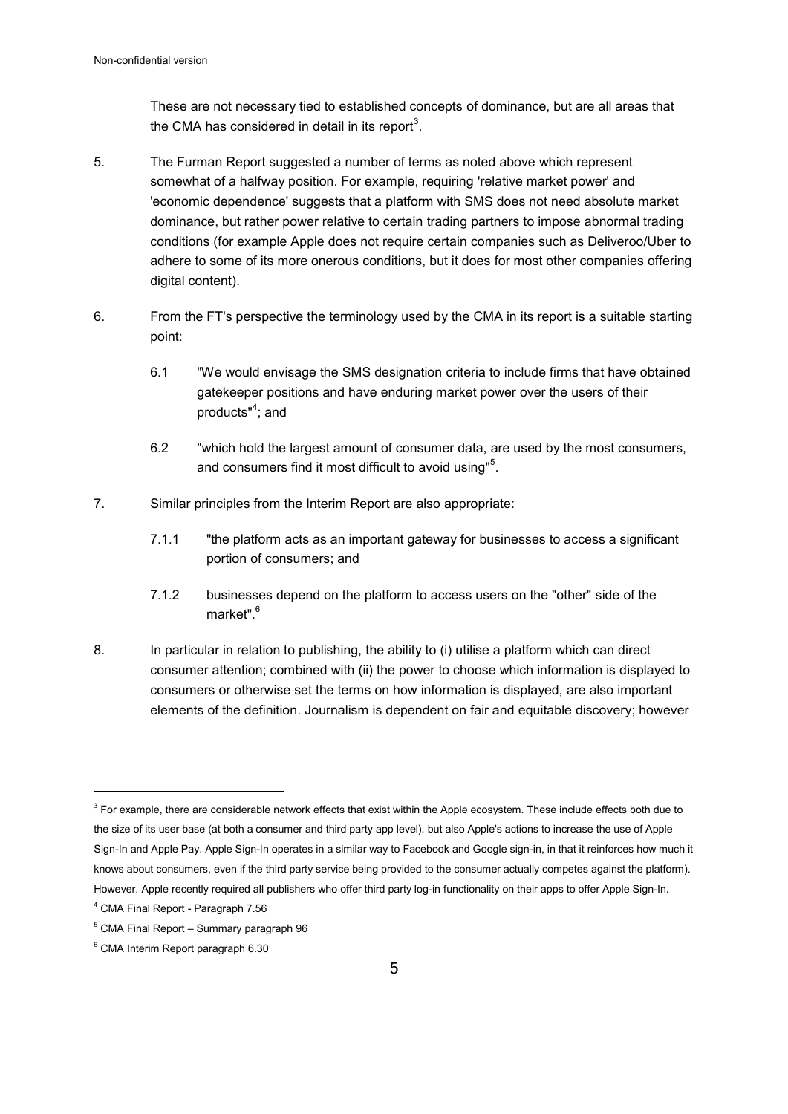These are not necessary tied to established concepts of dominance, but are all areas that the CMA has considered in detail in its report $^3$ .

- 5. The Furman Report suggested a number of terms as noted above which represent somewhat of a halfway position. For example, requiring 'relative market power' and 'economic dependence' suggests that a platform with SMS does not need absolute market dominance, but rather power relative to certain trading partners to impose abnormal trading conditions (for example Apple does not require certain companies such as Deliveroo/Uber to adhere to some of its more onerous conditions, but it does for most other companies offering digital content).
- 6. From the FT's perspective the terminology used by the CMA in its report is a suitable starting point:
	- 6.1 "We would envisage the SMS designation criteria to include firms that have obtained gatekeeper positions and have enduring market power over the users of their products"<sup>4</sup>; and
	- 6.2 "which hold the largest amount of consumer data, are used by the most consumers, and consumers find it most difficult to avoid using"<sup>5</sup>.
- 7. Similar principles from the Interim Report are also appropriate:
	- 7.1.1 "the platform acts as an important gateway for businesses to access a significant portion of consumers; and
	- 7.1.2 businesses depend on the platform to access users on the "other" side of the market".<sup>6</sup>
- 8. In particular in relation to publishing, the ability to (i) utilise a platform which can direct consumer attention; combined with (ii) the power to choose which information is displayed to consumers or otherwise set the terms on how information is displayed, are also important elements of the definition. Journalism is dependent on fair and equitable discovery; however

 $^3$  For example, there are considerable network effects that exist within the Apple ecosystem. These include effects both due to the size of its user base (at both a consumer and third party app level), but also Apple's actions to increase the use of Apple Sign-In and Apple Pay. Apple Sign-In operates in a similar way to Facebook and Google sign-in, in that it reinforces how much it knows about consumers, even if the third party service being provided to the consumer actually competes against the platform). However. Apple recently required all publishers who offer third party log-in functionality on their apps to offer Apple Sign-In.

<sup>4</sup> CMA Final Report - Paragraph 7.56

<sup>5</sup> CMA Final Report – Summary paragraph 96

<sup>6</sup> CMA Interim Report paragraph 6.30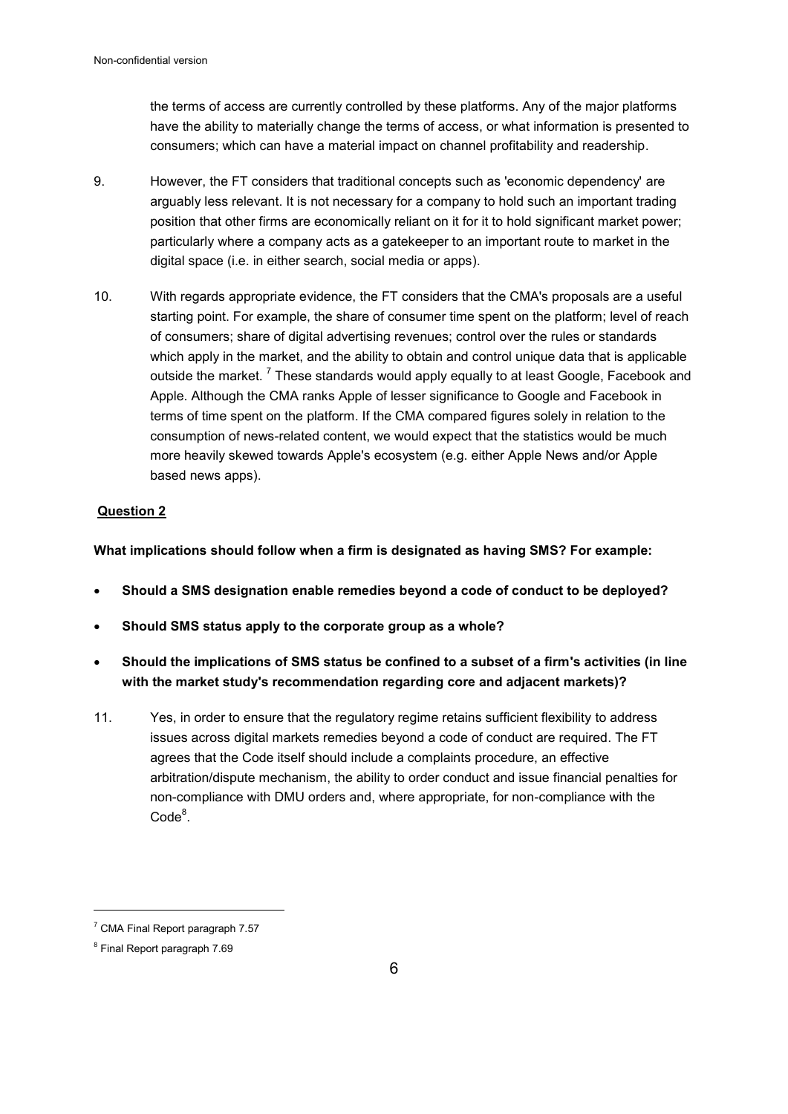the terms of access are currently controlled by these platforms. Any of the major platforms have the ability to materially change the terms of access, or what information is presented to consumers; which can have a material impact on channel profitability and readership.

- 9. However, the FT considers that traditional concepts such as 'economic dependency' are arguably less relevant. It is not necessary for a company to hold such an important trading position that other firms are economically reliant on it for it to hold significant market power; particularly where a company acts as a gatekeeper to an important route to market in the digital space (i.e. in either search, social media or apps).
- 10. With regards appropriate evidence, the FT considers that the CMA's proposals are a useful starting point. For example, the share of consumer time spent on the platform; level of reach of consumers; share of digital advertising revenues; control over the rules or standards which apply in the market, and the ability to obtain and control unique data that is applicable outside the market. <sup>7</sup> These standards would apply equally to at least Google, Facebook and Apple. Although the CMA ranks Apple of lesser significance to Google and Facebook in terms of time spent on the platform. If the CMA compared figures solely in relation to the consumption of news-related content, we would expect that the statistics would be much more heavily skewed towards Apple's ecosystem (e.g. either Apple News and/or Apple based news apps).

# **Question 2**

**What implications should follow when a firm is designated as having SMS? For example:** 

- **Should a SMS designation enable remedies beyond a code of conduct to be deployed?**
- **Should SMS status apply to the corporate group as a whole?**
- **Should the implications of SMS status be confined to a subset of a firm's activities (in line with the market study's recommendation regarding core and adjacent markets)?**
- 11. Yes, in order to ensure that the regulatory regime retains sufficient flexibility to address issues across digital markets remedies beyond a code of conduct are required. The FT agrees that the Code itself should include a complaints procedure, an effective arbitration/dispute mechanism, the ability to order conduct and issue financial penalties for non-compliance with DMU orders and, where appropriate, for non-compliance with the  $Code<sup>8</sup>$ .

<sup>7</sup> CMA Final Report paragraph 7.57

<sup>8</sup> Final Report paragraph 7.69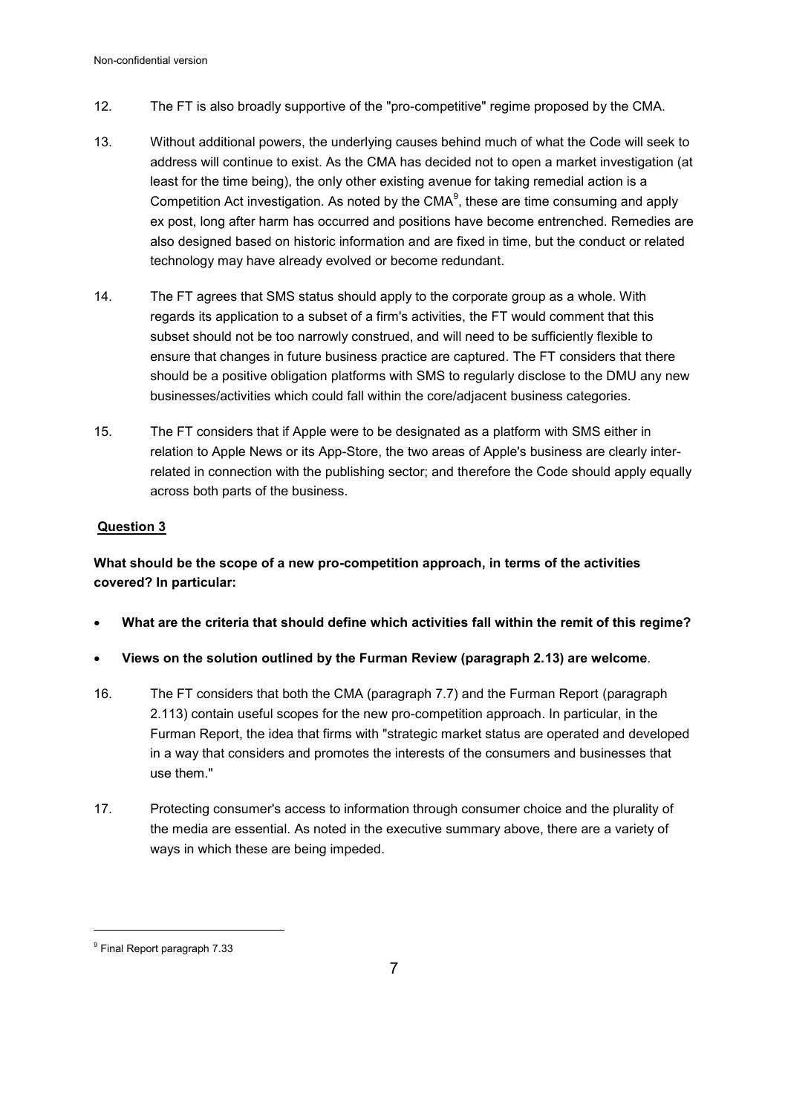- 12. The FT is also broadly supportive of the "pro-competitive" regime proposed by the CMA.
- 13. Without additional powers, the underlying causes behind much of what the Code will seek to address will continue to exist. As the CMA has decided not to open a market investigation (at least for the time being), the only other existing avenue for taking remedial action is a Competition Act investigation. As noted by the CMA $^9$ , these are time consuming and apply ex post, long after harm has occurred and positions have become entrenched. Remedies are also designed based on historic information and are fixed in time, but the conduct or related technology may have already evolved or become redundant.
- 14. The FT agrees that SMS status should apply to the corporate group as a whole. With regards its application to a subset of a firm's activities, the FT would comment that this subset should not be too narrowly construed, and will need to be sufficiently flexible to ensure that changes in future business practice are captured. The FT considers that there should be a positive obligation platforms with SMS to regularly disclose to the DMU any new businesses/activities which could fall within the core/adjacent business categories.
- 15. The FT considers that if Apple were to be designated as a platform with SMS either in relation to Apple News or its App-Store, the two areas of Apple's business are clearly interrelated in connection with the publishing sector; and therefore the Code should apply equally across both parts of the business.

# **Question 3**

**What should be the scope of a new pro-competition approach, in terms of the activities covered? In particular:** 

- **What are the criteria that should define which activities fall within the remit of this regime?**
- **Views on the solution outlined by the Furman Review (paragraph 2.13) are welcome**.
- 16. The FT considers that both the CMA (paragraph 7.7) and the Furman Report (paragraph 2.113) contain useful scopes for the new pro-competition approach. In particular, in the Furman Report, the idea that firms with "strategic market status are operated and developed in a way that considers and promotes the interests of the consumers and businesses that use them."
- 17. Protecting consumer's access to information through consumer choice and the plurality of the media are essential. As noted in the executive summary above, there are a variety of ways in which these are being impeded.

 $^9$  Final Report paragraph 7.33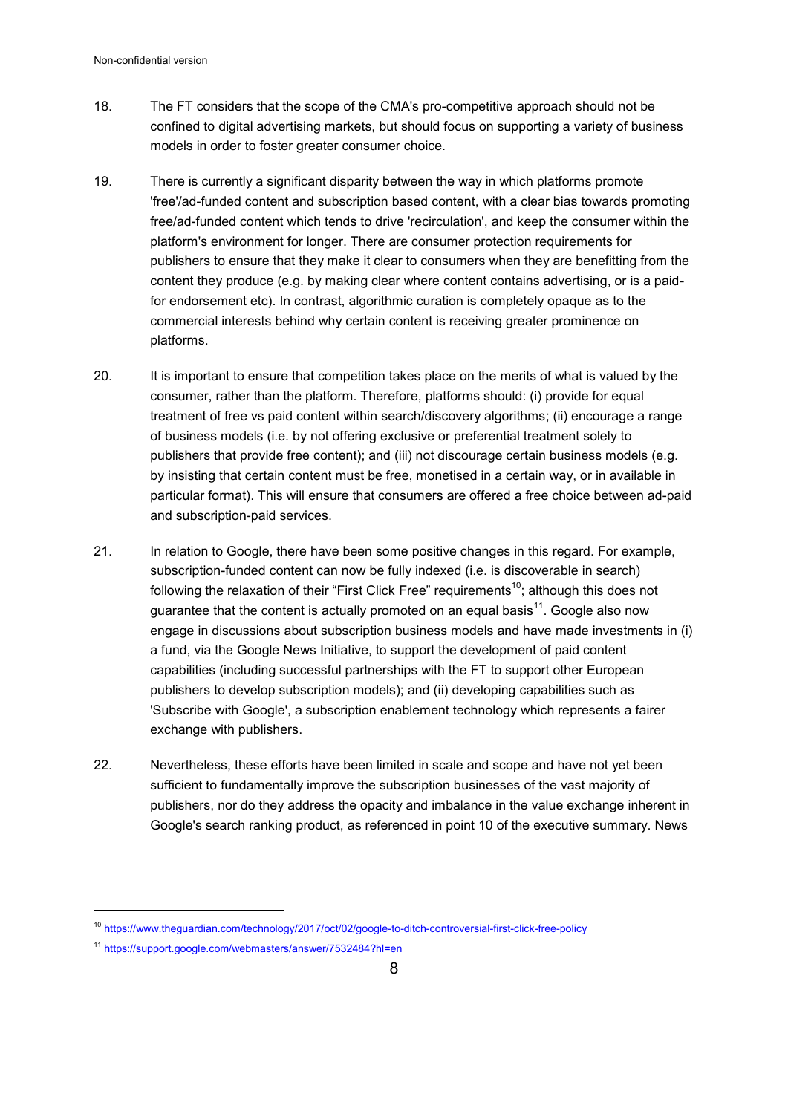- 18. The FT considers that the scope of the CMA's pro-competitive approach should not be confined to digital advertising markets, but should focus on supporting a variety of business models in order to foster greater consumer choice.
- 19. There is currently a significant disparity between the way in which platforms promote 'free'/ad-funded content and subscription based content, with a clear bias towards promoting free/ad-funded content which tends to drive 'recirculation', and keep the consumer within the platform's environment for longer. There are consumer protection requirements for publishers to ensure that they make it clear to consumers when they are benefitting from the content they produce (e.g. by making clear where content contains advertising, or is a paidfor endorsement etc). In contrast, algorithmic curation is completely opaque as to the commercial interests behind why certain content is receiving greater prominence on platforms.
- 20. It is important to ensure that competition takes place on the merits of what is valued by the consumer, rather than the platform. Therefore, platforms should: (i) provide for equal treatment of free vs paid content within search/discovery algorithms; (ii) encourage a range of business models (i.e. by not offering exclusive or preferential treatment solely to publishers that provide free content); and (iii) not discourage certain business models (e.g. by insisting that certain content must be free, monetised in a certain way, or in available in particular format). This will ensure that consumers are offered a free choice between ad-paid and subscription-paid services.
- 21. In relation to Google, there have been some positive changes in this regard. For example, subscription-funded content can now be fully indexed (i.e. is discoverable in search) following the relaxation of their "First Click Free" requirements<sup>10</sup>; although this does not guarantee that the content is actually promoted on an equal basis $^{\mathsf{11}}$ . Google also now engage in discussions about subscription business models and have made investments in (i) a fund, via the Google News Initiative, to support the development of paid content capabilities (including successful partnerships with the FT to support other European publishers to develop subscription models); and (ii) developing capabilities such as 'Subscribe with Google', a subscription enablement technology which represents a fairer exchange with publishers.
- 22. Nevertheless, these efforts have been limited in scale and scope and have not yet been sufficient to fundamentally improve the subscription businesses of the vast majority of publishers, nor do they address the opacity and imbalance in the value exchange inherent in Google's search ranking product, as referenced in point 10 of the executive summary. News

<sup>10</sup> <https://www.theguardian.com/technology/2017/oct/02/google-to-ditch-controversial-first-click-free-policy>

<sup>11</sup> <https://support.google.com/webmasters/answer/7532484?hl=en>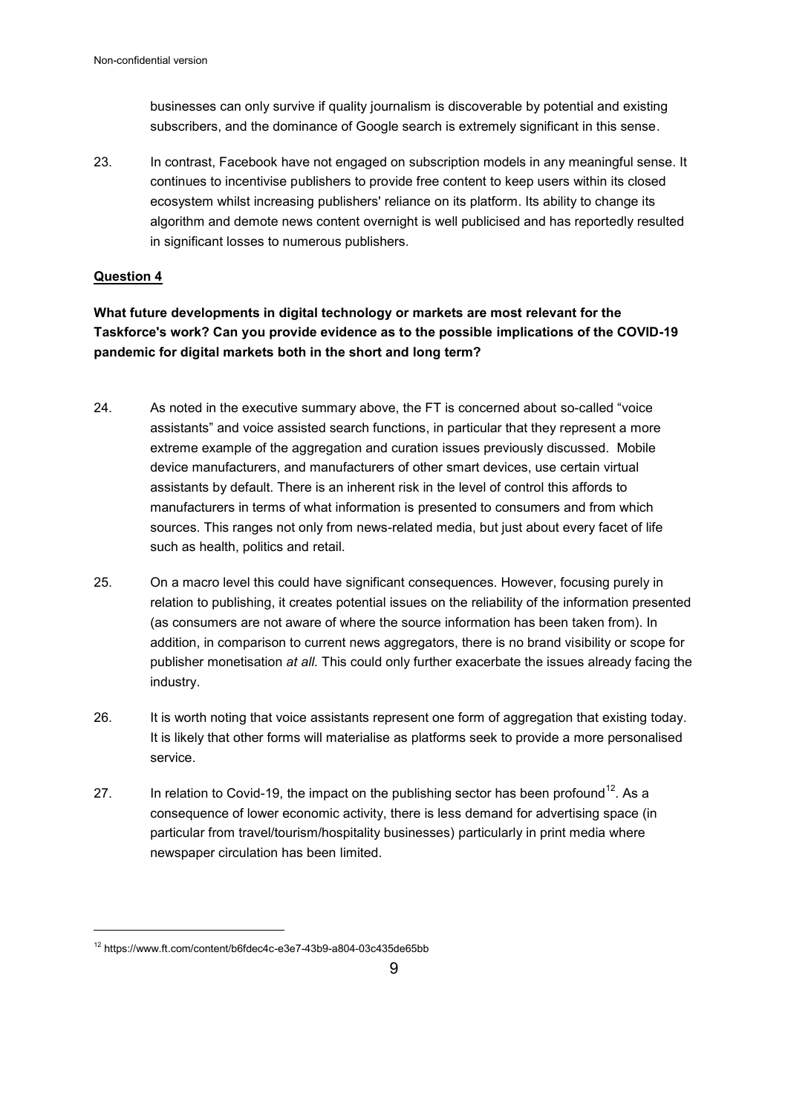businesses can only survive if quality journalism is discoverable by potential and existing subscribers, and the dominance of Google search is extremely significant in this sense.

23. In contrast, Facebook have not engaged on subscription models in any meaningful sense. It continues to incentivise publishers to provide free content to keep users within its closed ecosystem whilst increasing publishers' reliance on its platform. Its ability to change its algorithm and demote news content overnight is well publicised and has reportedly resulted in significant losses to numerous publishers.

# **Question 4**

 $\overline{a}$ 

**What future developments in digital technology or markets are most relevant for the Taskforce's work? Can you provide evidence as to the possible implications of the COVID-19 pandemic for digital markets both in the short and long term?** 

- 24. As noted in the executive summary above, the FT is concerned about so-called "voice assistants" and voice assisted search functions, in particular that they represent a more extreme example of the aggregation and curation issues previously discussed. Mobile device manufacturers, and manufacturers of other smart devices, use certain virtual assistants by default. There is an inherent risk in the level of control this affords to manufacturers in terms of what information is presented to consumers and from which sources. This ranges not only from news-related media, but just about every facet of life such as health, politics and retail.
- 25. On a macro level this could have significant consequences. However, focusing purely in relation to publishing, it creates potential issues on the reliability of the information presented (as consumers are not aware of where the source information has been taken from). In addition, in comparison to current news aggregators, there is no brand visibility or scope for publisher monetisation *at all.* This could only further exacerbate the issues already facing the industry.
- 26. It is worth noting that voice assistants represent one form of aggregation that existing today. It is likely that other forms will materialise as platforms seek to provide a more personalised service.
- 27. In relation to Covid-19, the impact on the publishing sector has been profound<sup>12</sup>. As a consequence of lower economic activity, there is less demand for advertising space (in particular from travel/tourism/hospitality businesses) particularly in print media where newspaper circulation has been limited.

<sup>12</sup> https://www.ft.com/content/b6fdec4c-e3e7-43b9-a804-03c435de65bb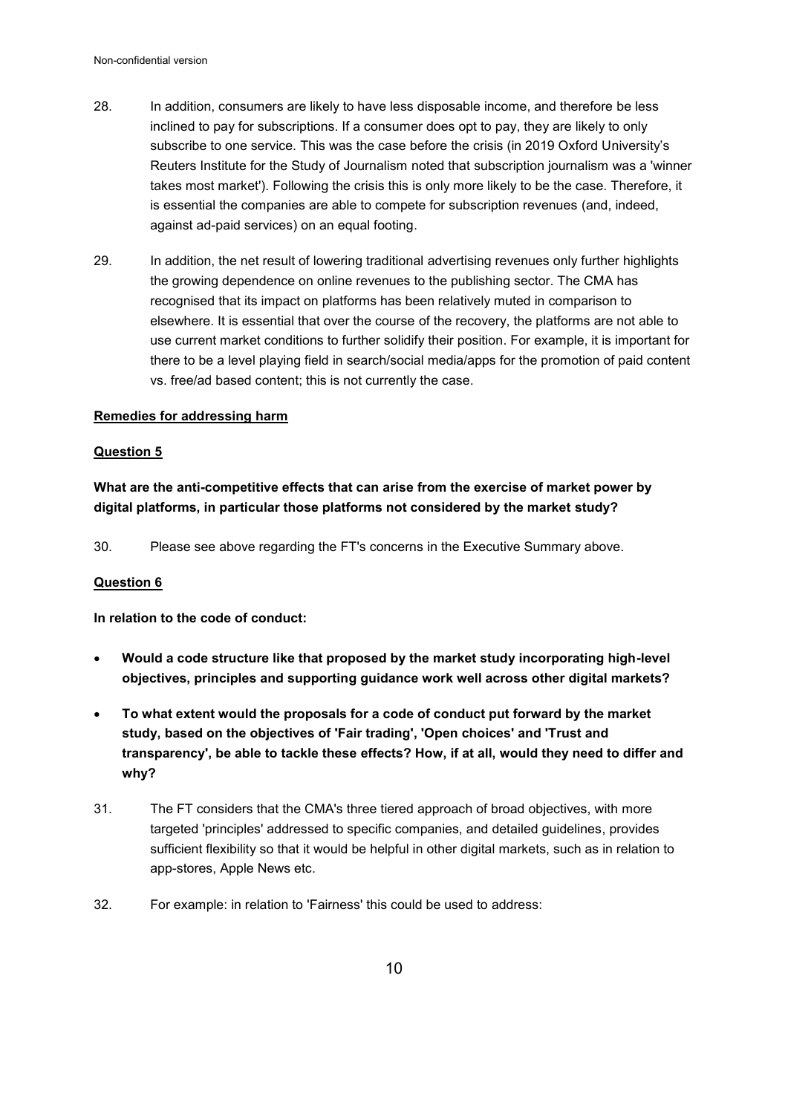- 28. In addition, consumers are likely to have less disposable income, and therefore be less inclined to pay for subscriptions. If a consumer does opt to pay, they are likely to only subscribe to one service. This was the case before the crisis (in 2019 Oxford University's Reuters Institute for the Study of Journalism noted that subscription journalism was a 'winner takes most market'). Following the crisis this is only more likely to be the case. Therefore, it is essential the companies are able to compete for subscription revenues (and, indeed, against ad-paid services) on an equal footing.
- 29. In addition, the net result of lowering traditional advertising revenues only further highlights the growing dependence on online revenues to the publishing sector. The CMA has recognised that its impact on platforms has been relatively muted in comparison to elsewhere. It is essential that over the course of the recovery, the platforms are not able to use current market conditions to further solidify their position. For example, it is important for there to be a level playing field in search/social media/apps for the promotion of paid content vs. free/ad based content; this is not currently the case.

# **Remedies for addressing harm**

#### **Question 5**

**What are the anti-competitive effects that can arise from the exercise of market power by digital platforms, in particular those platforms not considered by the market study?** 

30. Please see above regarding the FT's concerns in the Executive Summary above.

#### **Question 6**

**In relation to the code of conduct:** 

- **Would a code structure like that proposed by the market study incorporating high-level objectives, principles and supporting guidance work well across other digital markets?**
- **To what extent would the proposals for a code of conduct put forward by the market study, based on the objectives of 'Fair trading', 'Open choices' and 'Trust and transparency', be able to tackle these effects? How, if at all, would they need to differ and why?**
- 31. The FT considers that the CMA's three tiered approach of broad objectives, with more targeted 'principles' addressed to specific companies, and detailed guidelines, provides sufficient flexibility so that it would be helpful in other digital markets, such as in relation to app-stores, Apple News etc.
- 32. For example: in relation to 'Fairness' this could be used to address: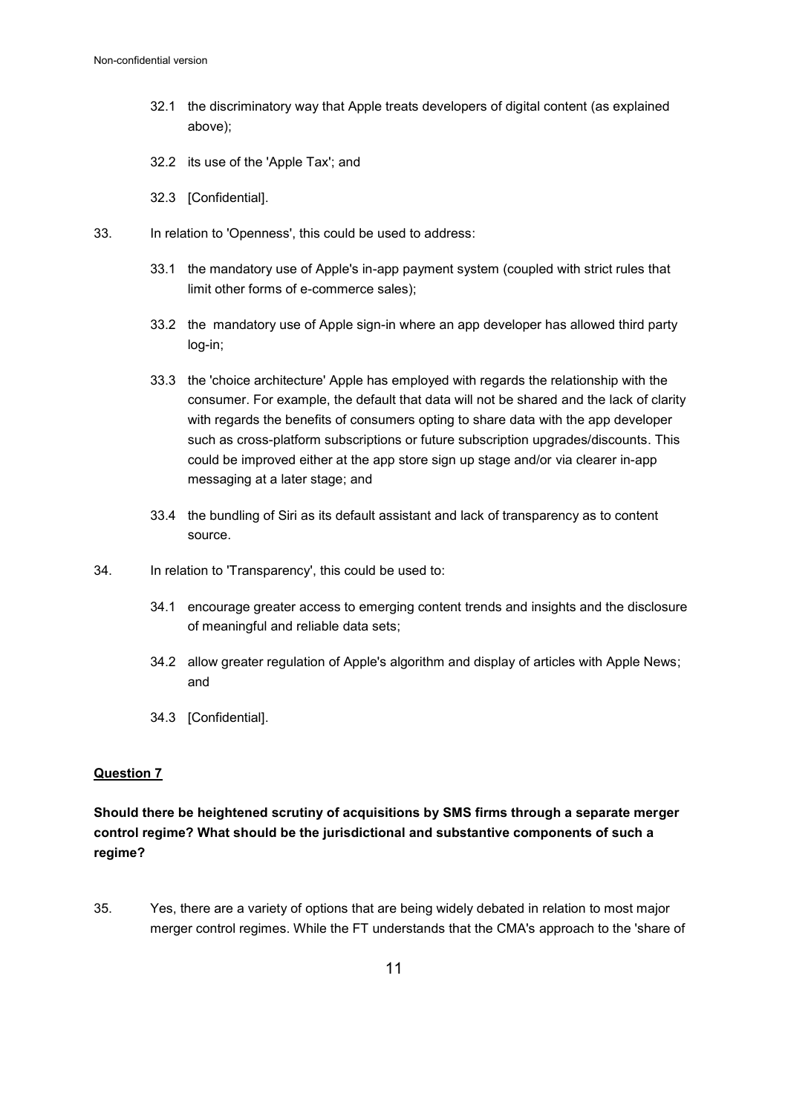- 32.1 the discriminatory way that Apple treats developers of digital content (as explained above);
- 32.2 its use of the 'Apple Tax'; and
- 32.3 [Confidential].
- 33. In relation to 'Openness', this could be used to address:
	- 33.1 the mandatory use of Apple's in-app payment system (coupled with strict rules that limit other forms of e-commerce sales);
	- 33.2 the mandatory use of Apple sign-in where an app developer has allowed third party log-in;
	- 33.3 the 'choice architecture' Apple has employed with regards the relationship with the consumer. For example, the default that data will not be shared and the lack of clarity with regards the benefits of consumers opting to share data with the app developer such as cross-platform subscriptions or future subscription upgrades/discounts. This could be improved either at the app store sign up stage and/or via clearer in-app messaging at a later stage; and
	- 33.4 the bundling of Siri as its default assistant and lack of transparency as to content source.
- 34. In relation to 'Transparency', this could be used to:
	- 34.1 encourage greater access to emerging content trends and insights and the disclosure of meaningful and reliable data sets;
	- 34.2 allow greater regulation of Apple's algorithm and display of articles with Apple News; and
	- 34.3 [Confidential].

# **Question 7**

# **Should there be heightened scrutiny of acquisitions by SMS firms through a separate merger control regime? What should be the jurisdictional and substantive components of such a regime?**

35. Yes, there are a variety of options that are being widely debated in relation to most major merger control regimes. While the FT understands that the CMA's approach to the 'share of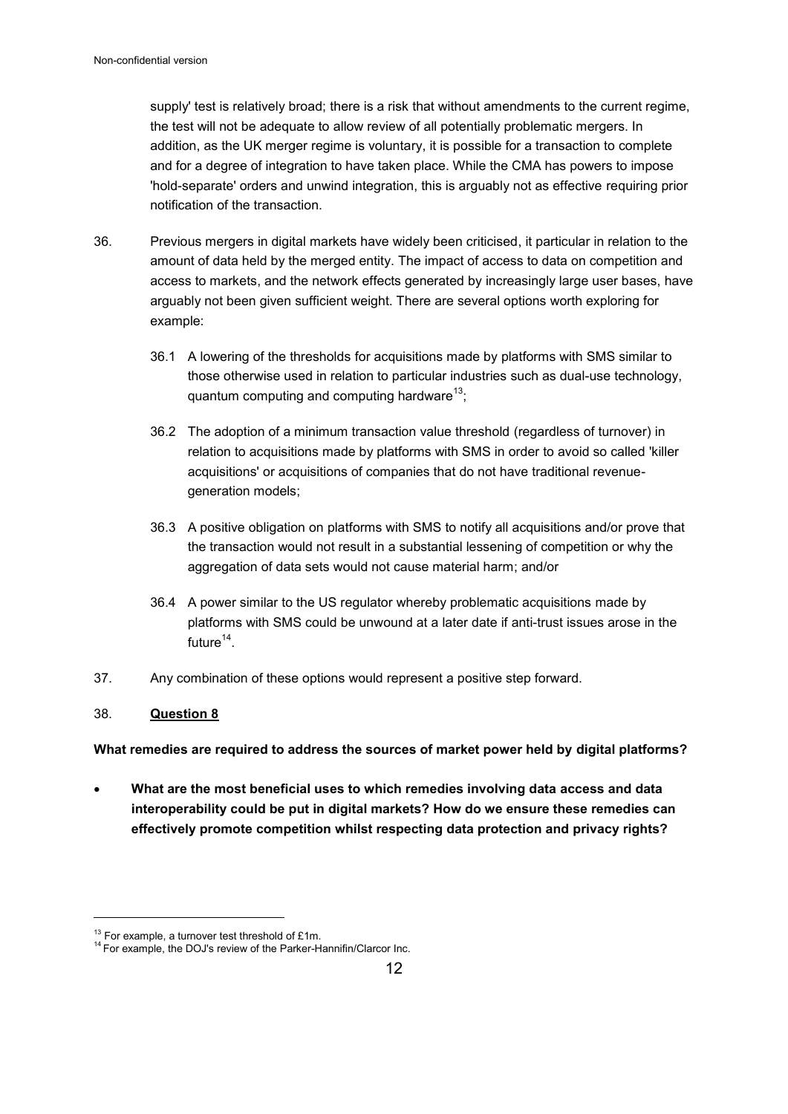supply' test is relatively broad; there is a risk that without amendments to the current regime, the test will not be adequate to allow review of all potentially problematic mergers. In addition, as the UK merger regime is voluntary, it is possible for a transaction to complete and for a degree of integration to have taken place. While the CMA has powers to impose 'hold-separate' orders and unwind integration, this is arguably not as effective requiring prior notification of the transaction.

- 36. Previous mergers in digital markets have widely been criticised, it particular in relation to the amount of data held by the merged entity. The impact of access to data on competition and access to markets, and the network effects generated by increasingly large user bases, have arguably not been given sufficient weight. There are several options worth exploring for example:
	- 36.1 A lowering of the thresholds for acquisitions made by platforms with SMS similar to those otherwise used in relation to particular industries such as dual-use technology, quantum computing and computing hardware<sup>13</sup>;
	- 36.2 The adoption of a minimum transaction value threshold (regardless of turnover) in relation to acquisitions made by platforms with SMS in order to avoid so called 'killer acquisitions' or acquisitions of companies that do not have traditional revenuegeneration models;
	- 36.3 A positive obligation on platforms with SMS to notify all acquisitions and/or prove that the transaction would not result in a substantial lessening of competition or why the aggregation of data sets would not cause material harm; and/or
	- 36.4 A power similar to the US regulator whereby problematic acquisitions made by platforms with SMS could be unwound at a later date if anti-trust issues arose in the future $^{14}$ .
- 37. Any combination of these options would represent a positive step forward.

# 38. **Question 8**

 $\overline{a}$ 

**What remedies are required to address the sources of market power held by digital platforms?** 

 **What are the most beneficial uses to which remedies involving data access and data interoperability could be put in digital markets? How do we ensure these remedies can effectively promote competition whilst respecting data protection and privacy rights?** 

 $13$  For example, a turnover test threshold of £1m.

<sup>14</sup> For example, the DOJ's review of the Parker-Hannifin/Clarcor Inc.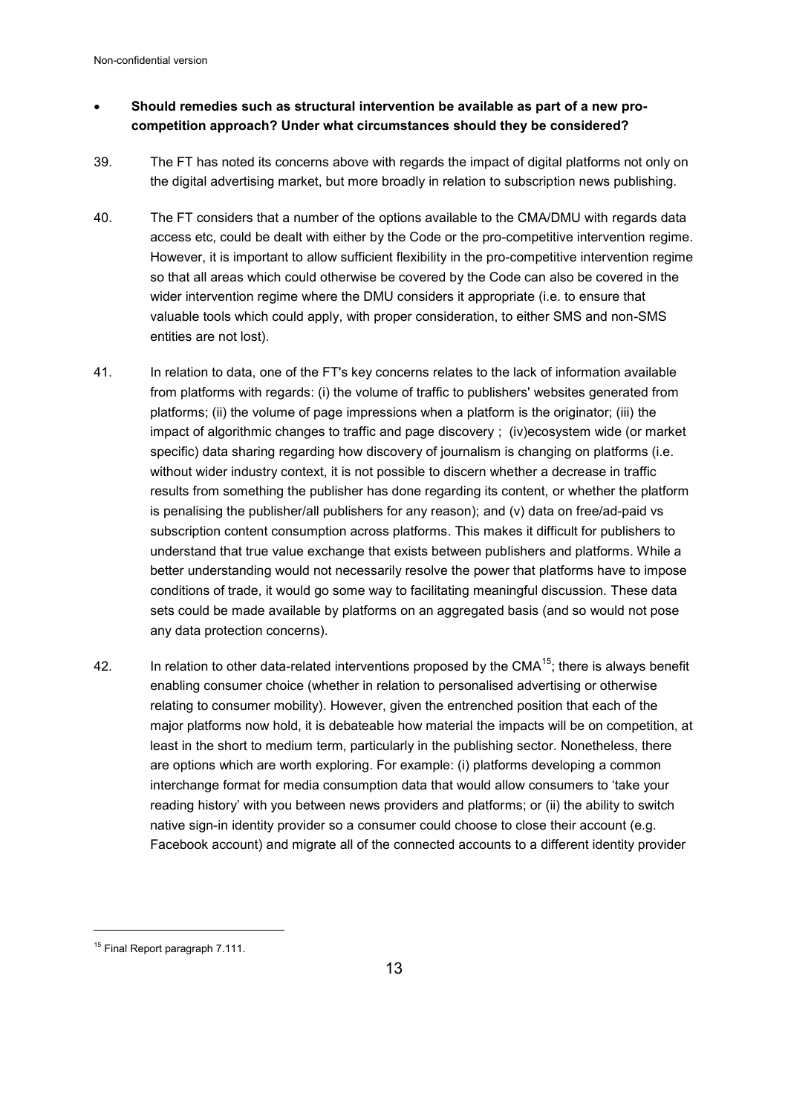# **Should remedies such as structural intervention be available as part of a new procompetition approach? Under what circumstances should they be considered?**

- 39. The FT has noted its concerns above with regards the impact of digital platforms not only on the digital advertising market, but more broadly in relation to subscription news publishing.
- 40. The FT considers that a number of the options available to the CMA/DMU with regards data access etc, could be dealt with either by the Code or the pro-competitive intervention regime. However, it is important to allow sufficient flexibility in the pro-competitive intervention regime so that all areas which could otherwise be covered by the Code can also be covered in the wider intervention regime where the DMU considers it appropriate (i.e. to ensure that valuable tools which could apply, with proper consideration, to either SMS and non-SMS entities are not lost).
- 41. In relation to data, one of the FT's key concerns relates to the lack of information available from platforms with regards: (i) the volume of traffic to publishers' websites generated from platforms; (ii) the volume of page impressions when a platform is the originator; (iii) the impact of algorithmic changes to traffic and page discovery ; (iv)ecosystem wide (or market specific) data sharing regarding how discovery of journalism is changing on platforms (i.e. without wider industry context, it is not possible to discern whether a decrease in traffic results from something the publisher has done regarding its content, or whether the platform is penalising the publisher/all publishers for any reason); and (v) data on free/ad-paid vs subscription content consumption across platforms. This makes it difficult for publishers to understand that true value exchange that exists between publishers and platforms. While a better understanding would not necessarily resolve the power that platforms have to impose conditions of trade, it would go some way to facilitating meaningful discussion. These data sets could be made available by platforms on an aggregated basis (and so would not pose any data protection concerns).
- 42. In relation to other data-related interventions proposed by the CMA<sup>15</sup>; there is always benefit enabling consumer choice (whether in relation to personalised advertising or otherwise relating to consumer mobility). However, given the entrenched position that each of the major platforms now hold, it is debateable how material the impacts will be on competition, at least in the short to medium term, particularly in the publishing sector. Nonetheless, there are options which are worth exploring. For example: (i) platforms developing a common interchange format for media consumption data that would allow consumers to 'take your reading history' with you between news providers and platforms; or (ii) the ability to switch native sign-in identity provider so a consumer could choose to close their account (e.g. Facebook account) and migrate all of the connected accounts to a different identity provider

<sup>&</sup>lt;sup>15</sup> Final Report paragraph 7.111.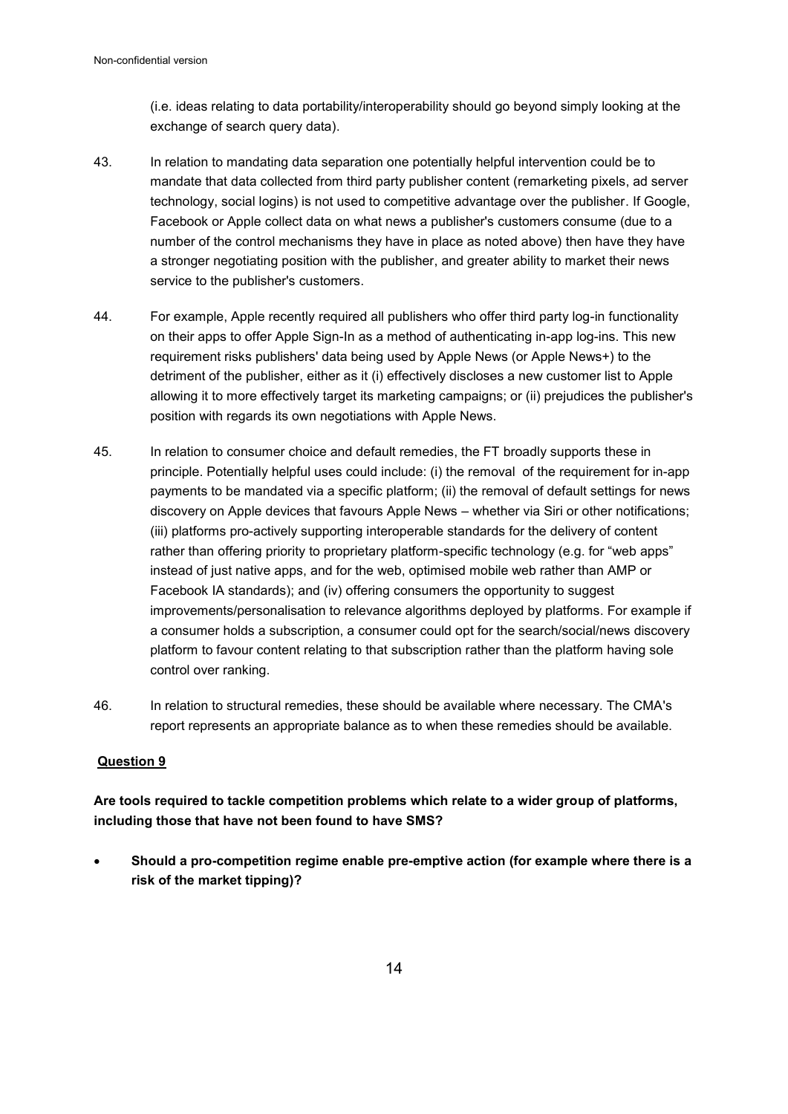(i.e. ideas relating to data portability/interoperability should go beyond simply looking at the exchange of search query data).

- 43. In relation to mandating data separation one potentially helpful intervention could be to mandate that data collected from third party publisher content (remarketing pixels, ad server technology, social logins) is not used to competitive advantage over the publisher. If Google, Facebook or Apple collect data on what news a publisher's customers consume (due to a number of the control mechanisms they have in place as noted above) then have they have a stronger negotiating position with the publisher, and greater ability to market their news service to the publisher's customers.
- 44. For example, Apple recently required all publishers who offer third party log-in functionality on their apps to offer Apple Sign-In as a method of authenticating in-app log-ins. This new requirement risks publishers' data being used by Apple News (or Apple News+) to the detriment of the publisher, either as it (i) effectively discloses a new customer list to Apple allowing it to more effectively target its marketing campaigns; or (ii) prejudices the publisher's position with regards its own negotiations with Apple News.
- 45. In relation to consumer choice and default remedies, the FT broadly supports these in principle. Potentially helpful uses could include: (i) the removal of the requirement for in-app payments to be mandated via a specific platform; (ii) the removal of default settings for news discovery on Apple devices that favours Apple News – whether via Siri or other notifications; (iii) platforms pro-actively supporting interoperable standards for the delivery of content rather than offering priority to proprietary platform-specific technology (e.g. for "web apps" instead of just native apps, and for the web, optimised mobile web rather than AMP or Facebook IA standards); and (iv) offering consumers the opportunity to suggest improvements/personalisation to relevance algorithms deployed by platforms. For example if a consumer holds a subscription, a consumer could opt for the search/social/news discovery platform to favour content relating to that subscription rather than the platform having sole control over ranking.
- 46. In relation to structural remedies, these should be available where necessary. The CMA's report represents an appropriate balance as to when these remedies should be available.

#### **Question 9**

**Are tools required to tackle competition problems which relate to a wider group of platforms, including those that have not been found to have SMS?** 

 **Should a pro-competition regime enable pre-emptive action (for example where there is a risk of the market tipping)?**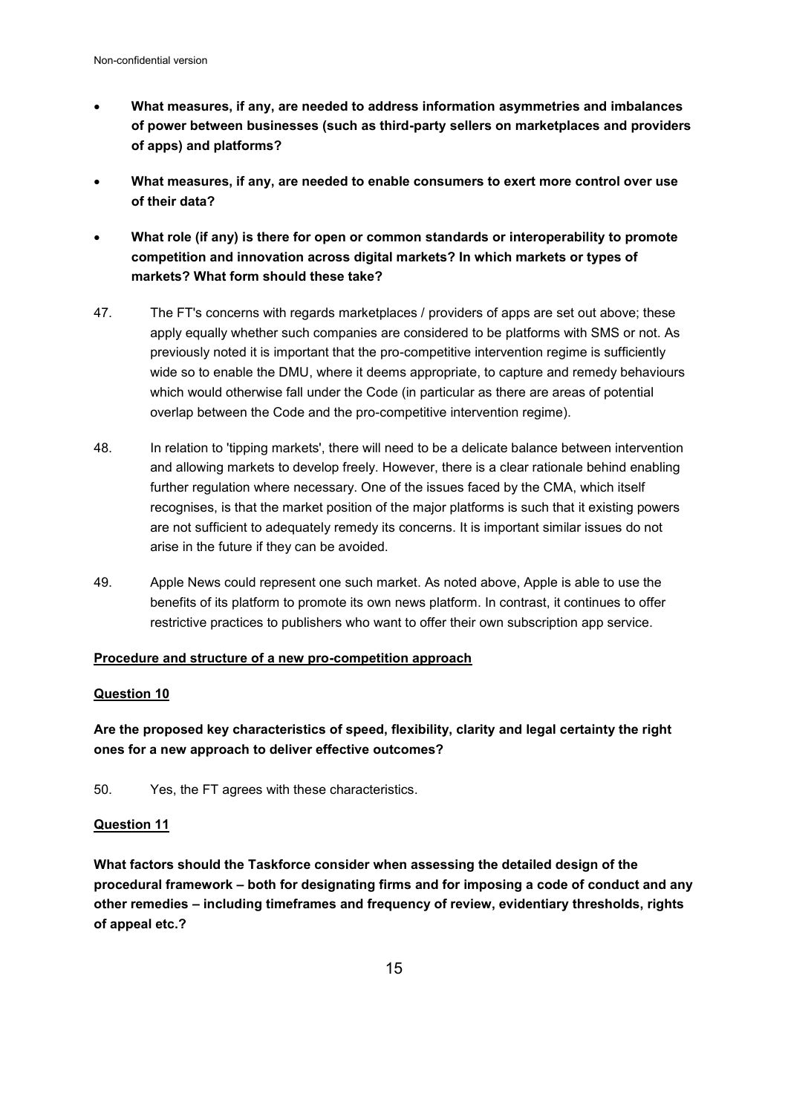- **What measures, if any, are needed to address information asymmetries and imbalances of power between businesses (such as third-party sellers on marketplaces and providers of apps) and platforms?**
- **What measures, if any, are needed to enable consumers to exert more control over use of their data?**
- **What role (if any) is there for open or common standards or interoperability to promote competition and innovation across digital markets? In which markets or types of markets? What form should these take?**
- 47. The FT's concerns with regards marketplaces / providers of apps are set out above; these apply equally whether such companies are considered to be platforms with SMS or not. As previously noted it is important that the pro-competitive intervention regime is sufficiently wide so to enable the DMU, where it deems appropriate, to capture and remedy behaviours which would otherwise fall under the Code (in particular as there are areas of potential overlap between the Code and the pro-competitive intervention regime).
- 48. In relation to 'tipping markets', there will need to be a delicate balance between intervention and allowing markets to develop freely. However, there is a clear rationale behind enabling further regulation where necessary. One of the issues faced by the CMA, which itself recognises, is that the market position of the major platforms is such that it existing powers are not sufficient to adequately remedy its concerns. It is important similar issues do not arise in the future if they can be avoided.
- 49. Apple News could represent one such market. As noted above, Apple is able to use the benefits of its platform to promote its own news platform. In contrast, it continues to offer restrictive practices to publishers who want to offer their own subscription app service.

#### **Procedure and structure of a new pro-competition approach**

#### **Question 10**

**Are the proposed key characteristics of speed, flexibility, clarity and legal certainty the right ones for a new approach to deliver effective outcomes?** 

50. Yes, the FT agrees with these characteristics.

#### **Question 11**

**What factors should the Taskforce consider when assessing the detailed design of the procedural framework – both for designating firms and for imposing a code of conduct and any other remedies – including timeframes and frequency of review, evidentiary thresholds, rights of appeal etc.?**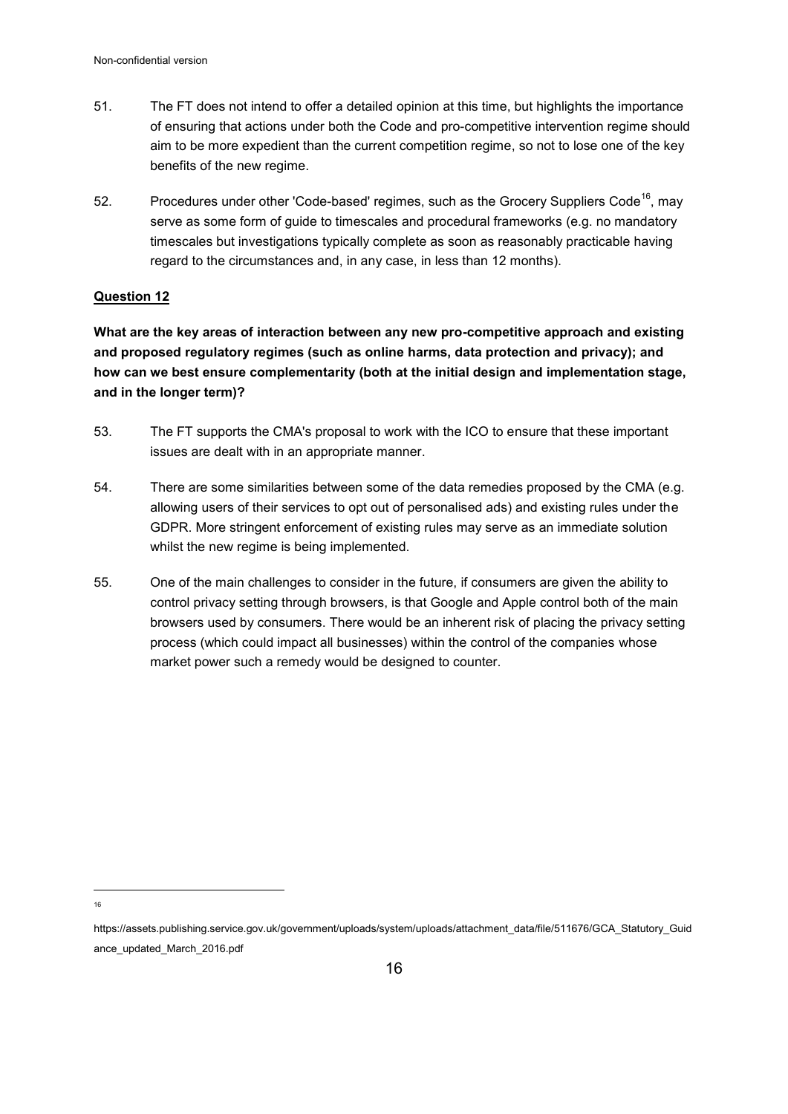- 51. The FT does not intend to offer a detailed opinion at this time, but highlights the importance of ensuring that actions under both the Code and pro-competitive intervention regime should aim to be more expedient than the current competition regime, so not to lose one of the key benefits of the new regime.
- 52. Procedures under other 'Code-based' regimes, such as the Grocery Suppliers Code<sup>16</sup>, may serve as some form of guide to timescales and procedural frameworks (e.g. no mandatory timescales but investigations typically complete as soon as reasonably practicable having regard to the circumstances and, in any case, in less than 12 months).

# **Question 12**

**What are the key areas of interaction between any new pro-competitive approach and existing and proposed regulatory regimes (such as online harms, data protection and privacy); and how can we best ensure complementarity (both at the initial design and implementation stage, and in the longer term)?** 

- 53. The FT supports the CMA's proposal to work with the ICO to ensure that these important issues are dealt with in an appropriate manner.
- 54. There are some similarities between some of the data remedies proposed by the CMA (e.g. allowing users of their services to opt out of personalised ads) and existing rules under the GDPR. More stringent enforcement of existing rules may serve as an immediate solution whilst the new regime is being implemented.
- 55. One of the main challenges to consider in the future, if consumers are given the ability to control privacy setting through browsers, is that Google and Apple control both of the main browsers used by consumers. There would be an inherent risk of placing the privacy setting process (which could impact all businesses) within the control of the companies whose market power such a remedy would be designed to counter.

https://assets.publishing.service.gov.uk/government/uploads/system/uploads/attachment\_data/file/511676/GCA\_Statutory\_Guid ance\_updated\_March\_2016.pdf